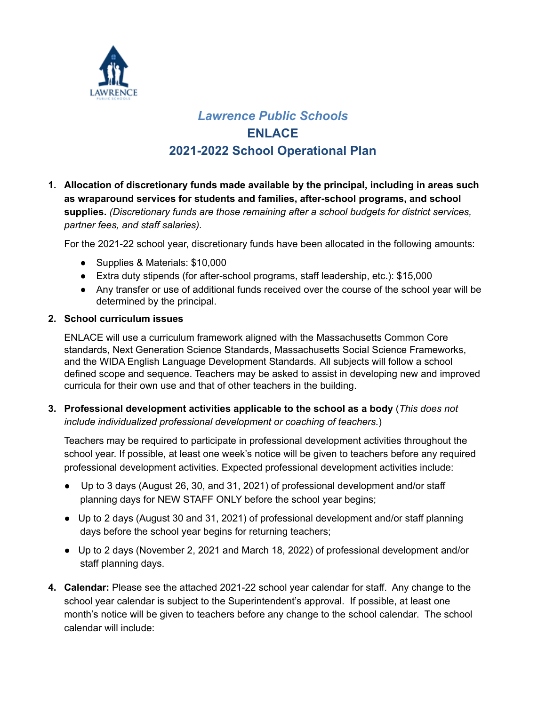

# *Lawrence Public Schools* **ENLACE 2021-2022 School Operational Plan**

**1. Allocation of discretionary funds made available by the principal, including in areas such as wraparound services for students and families, after-school programs, and school supplies.** *(Discretionary funds are those remaining after a school budgets for district services, partner fees, and staff salaries).*

For the 2021-22 school year, discretionary funds have been allocated in the following amounts:

- Supplies & Materials: \$10,000
- Extra duty stipends (for after-school programs, staff leadership, etc.): \$15,000
- Any transfer or use of additional funds received over the course of the school year will be determined by the principal.

# **2. School curriculum issues**

ENLACE will use a curriculum framework aligned with the Massachusetts Common Core standards, Next Generation Science Standards, Massachusetts Social Science Frameworks, and the WIDA English Language Development Standards. All subjects will follow a school defined scope and sequence. Teachers may be asked to assist in developing new and improved curricula for their own use and that of other teachers in the building.

**3. Professional development activities applicable to the school as a body** (*This does not include individualized professional development or coaching of teachers.*)

Teachers may be required to participate in professional development activities throughout the school year. If possible, at least one week's notice will be given to teachers before any required professional development activities. Expected professional development activities include:

- Up to 3 days (August 26, 30, and 31, 2021) of professional development and/or staff planning days for NEW STAFF ONLY before the school year begins;
- Up to 2 days (August 30 and 31, 2021) of professional development and/or staff planning days before the school year begins for returning teachers;
- Up to 2 days (November 2, 2021 and March 18, 2022) of professional development and/or staff planning days.
- **4. Calendar:** Please see the attached 2021-22 school year calendar for staff. Any change to the school year calendar is subject to the Superintendent's approval. If possible, at least one month's notice will be given to teachers before any change to the school calendar. The school calendar will include: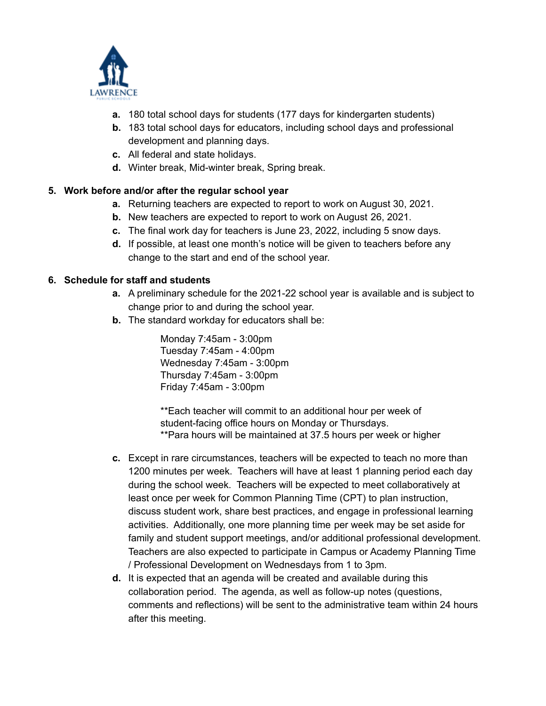

- **a.** 180 total school days for students (177 days for kindergarten students)
- **b.** 183 total school days for educators, including school days and professional development and planning days.
- **c.** All federal and state holidays.
- **d.** Winter break, Mid-winter break, Spring break.

# **5. Work before and/or after the regular school year**

- **a.** Returning teachers are expected to report to work on August 30, 2021.
- **b.** New teachers are expected to report to work on August 26, 2021.
- **c.** The final work day for teachers is June 23, 2022, including 5 snow days.
- **d.** If possible, at least one month's notice will be given to teachers before any change to the start and end of the school year.

# **6. Schedule for staff and students**

- **a.** A preliminary schedule for the 2021-22 school year is available and is subject to change prior to and during the school year.
- **b.** The standard workday for educators shall be:

Monday 7:45am - 3:00pm Tuesday 7:45am - 4:00pm Wednesday 7:45am - 3:00pm Thursday 7:45am - 3:00pm Friday 7:45am - 3:00pm

\*\*Each teacher will commit to an additional hour per week of student-facing office hours on Monday or Thursdays. \*\*Para hours will be maintained at 37.5 hours per week or higher

- **c.** Except in rare circumstances, teachers will be expected to teach no more than 1200 minutes per week. Teachers will have at least 1 planning period each day during the school week. Teachers will be expected to meet collaboratively at least once per week for Common Planning Time (CPT) to plan instruction, discuss student work, share best practices, and engage in professional learning activities. Additionally, one more planning time per week may be set aside for family and student support meetings, and/or additional professional development. Teachers are also expected to participate in Campus or Academy Planning Time / Professional Development on Wednesdays from 1 to 3pm.
- **d.** It is expected that an agenda will be created and available during this collaboration period. The agenda, as well as follow-up notes (questions, comments and reflections) will be sent to the administrative team within 24 hours after this meeting.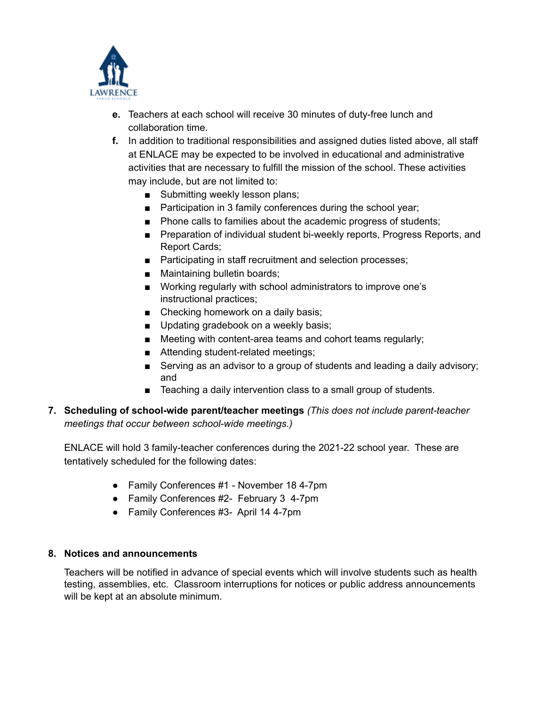

- **e.** Teachers at each school will receive 30 minutes of duty-free lunch and collaboration time.
- **f.** In addition to traditional responsibilities and assigned duties listed above, all staff at ENLACE may be expected to be involved in educational and administrative activities that are necessary to fulfill the mission of the school. These activities may include, but are not limited to:
	- Submitting weekly lesson plans;
	- Participation in 3 family conferences during the school year;
	- Phone calls to families about the academic progress of students;
	- Preparation of individual student bi-weekly reports, Progress Reports, and Report Cards;
	- Participating in staff recruitment and selection processes;
	- Maintaining bulletin boards;
	- Working regularly with school administrators to improve one's instructional practices;
	- Checking homework on a daily basis;
	- Updating gradebook on a weekly basis;
	- Meeting with content-area teams and cohort teams regularly;
	- Attending student-related meetings;
	- Serving as an advisor to a group of students and leading a daily advisory; and
	- Teaching a daily intervention class to a small group of students.
- **7. Scheduling of school-wide parent/teacher meetings** *(This does not include parent-teacher meetings that occur between school-wide meetings.)*

ENLACE will hold 3 family-teacher conferences during the 2021-22 school year. These are tentatively scheduled for the following dates:

- Family Conferences #1 November 18 4-7pm
- Family Conferences #2- February 3 4-7pm
- Family Conferences #3- April 14 4-7pm

#### **8. Notices and announcements**

Teachers will be notified in advance of special events which will involve students such as health testing, assemblies, etc. Classroom interruptions for notices or public address announcements will be kept at an absolute minimum.